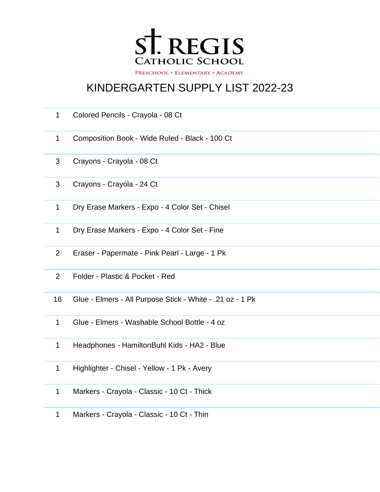

## KINDERGARTEN SUPPLY LIST 2022-23

| $\mathbf{1}$   | Colored Pencils - Crayola - 08 Ct                         |
|----------------|-----------------------------------------------------------|
| $\mathbf{1}$   | Composition Book - Wide Ruled - Black - 100 Ct            |
| 3              | Crayons - Crayola - 08 Ct                                 |
| 3              | Crayons - Crayola - 24 Ct                                 |
| $\mathbf 1$    | Dry Erase Markers - Expo - 4 Color Set - Chisel           |
| $\mathbf{1}$   | Dry Erase Markers - Expo - 4 Color Set - Fine             |
| $\overline{2}$ | Eraser - Papermate - Pink Pearl - Large - 1 Pk            |
| 2              | Folder - Plastic & Pocket - Red                           |
| 16             | Glue - Elmers - All Purpose Stick - White - .21 oz - 1 Pk |
| $\mathbf{1}$   | Glue - Elmers - Washable School Bottle - 4 oz             |
| $\mathbf{1}$   | Headphones - HamiltonBuhl Kids - HA2 - Blue               |
| $\mathbf{1}$   | Highlighter - Chisel - Yellow - 1 Pk - Avery              |
| 1              | Markers - Crayola - Classic - 10 Ct - Thick               |
|                | $M$ arkara Crovala Classis 40.04 Thin                     |

Markers - Crayola - Classic - 10 Ct - Thin